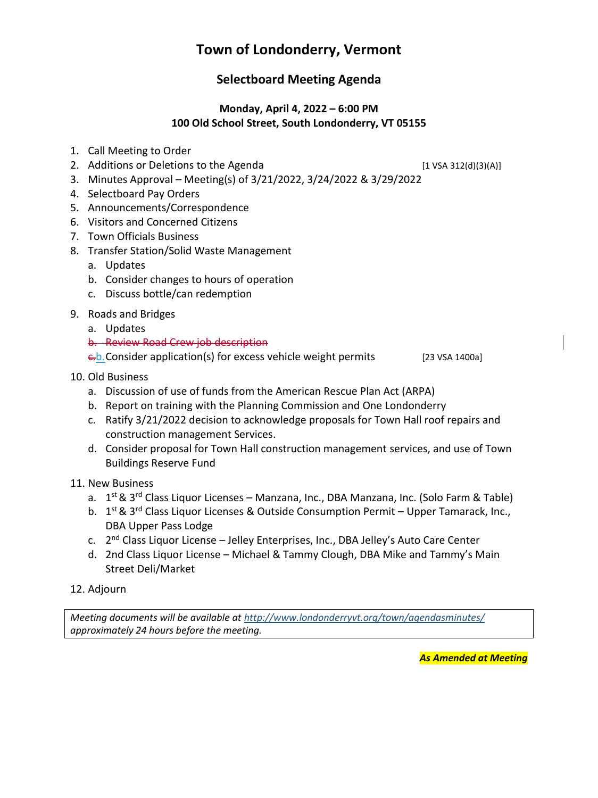# **Town of Londonderry, Vermont**

# **Selectboard Meeting Agenda**

# **Monday, April 4, 2022 – 6:00 PM 100 Old School Street, South Londonderry, VT 05155**

- 1. Call Meeting to Order
- 2. Additions or Deletions to the Agenda [1 VSA 312(d)(3)(A)]

- 3. Minutes Approval Meeting(s) of 3/21/2022, 3/24/2022 & 3/29/2022
- 4. Selectboard Pay Orders
- 5. Announcements/Correspondence
- 6. Visitors and Concerned Citizens
- 7. Town Officials Business
- 8. Transfer Station/Solid Waste Management
	- a. Updates
	- b. Consider changes to hours of operation
	- c. Discuss bottle/can redemption
- 9. Roads and Bridges
	- a. Updates
		- b. Review Road Crew job description

 $\frac{c}{b}$ . Consider application(s) for excess vehicle weight permits [23 VSA 1400a]

- 10. Old Business
	- a. Discussion of use of funds from the American Rescue Plan Act (ARPA)
	- b. Report on training with the Planning Commission and One Londonderry
	- c. Ratify 3/21/2022 decision to acknowledge proposals for Town Hall roof repairs and construction management Services.
	- d. Consider proposal for Town Hall construction management services, and use of Town Buildings Reserve Fund
- 11. New Business
	- a. 1<sup>st</sup> & 3<sup>rd</sup> Class Liquor Licenses Manzana, Inc., DBA Manzana, Inc. (Solo Farm & Table)
	- b. 1<sup>st</sup> & 3<sup>rd</sup> Class Liquor Licenses & Outside Consumption Permit Upper Tamarack, Inc., DBA Upper Pass Lodge
	- c. 2<sup>nd</sup> Class Liquor License Jelley Enterprises, Inc., DBA Jelley's Auto Care Center
	- d. 2nd Class Liquor License Michael & Tammy Clough, DBA Mike and Tammy's Main Street Deli/Market
- 12. Adjourn

*Meeting documents will be available at <http://www.londonderryvt.org/town/agendasminutes/> approximately 24 hours before the meeting.*

*As Amended at Meeting*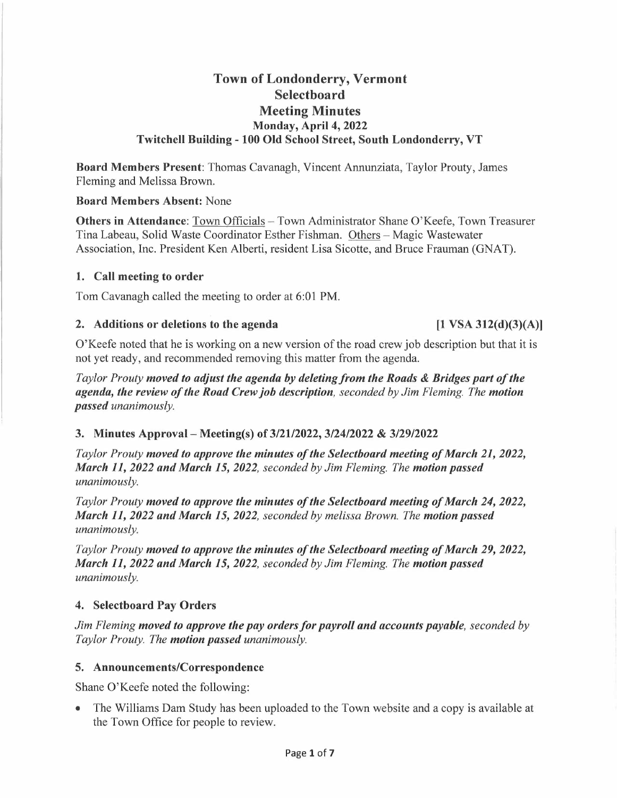# **Town of Londonderry, Vermont Selectboard Meeting Minutes Monday, April 4, 2022 Twitchell Building - 100 Old School Street, South Londonderry, VT**

**Board Members Present:** Thomas Cavanagh, Vincent Annunziata, Taylor Prouty, James Fleming and Melissa Brown.

# **Board Members Absent:** None

**Others in Attendance:** Town Officials – Town Administrator Shane O'Keefe, Town Treasurer Tina Labeau, Solid Waste Coordinator Esther Fishman. Others - Magic Wastewater Association, Inc. President Ken Alberti, resident Lisa Sicotte, and Bruce Frauman (GNAT).

# **1. Call meeting to order**

Tom Cavanagh called the meeting to order at 6:01 PM.

# 2. Additions or deletions to the agenda **[1 VSA 312(d)(3)(A)]**

O'Keefe noted that he is working on a new version of the road crew job description but that it is not yet ready, and recommended removing this matter from the agenda.

*Taylor Prouty moved to adjust the agenda by deleting from the Roads* & *Bridges part of the agenda, the review of the Road Crew job description, seconded by Jim Fleming. The motion passed unanimously.* 

# **3. Minutes Approval- Meeting(s) of 3/21/2022, 3/24/2022** & **3/29/2022**

*Taylor Prouty moved to approve the minutes of the Selectboard meeting of March 21, 2022, March 11, 2022 and March 15, 2022, seconded by Jim Fleming. The motion passed unanimously.* 

*Taylor Prouty moved to approve the minutes of the Selectboard meeting of March 24, 2022, March 11, 2022 and March 15, 2022, seconded by melissa Brown. The motion passed unanimously.* 

*Taylor Prouty moved to approve the minutes of the Selectboard meeting of March 29, 2022, March 11, 2022 and March 15, 2022, seconded by Jim Fleming. The motion passed unanimously.* 

# **4. Selectboard Pay Orders**

*Jim Fleming moved to approve the pay orders for payroll and accounts payable, seconded by Taylor Prouty. The motion passed unanimously.* 

# **5. Announcements/Correspondence**

Shane O'Keefe noted the following:

• The Williams Dam Study has been uploaded to the Town website and a copy is available at the Town Office for people to review.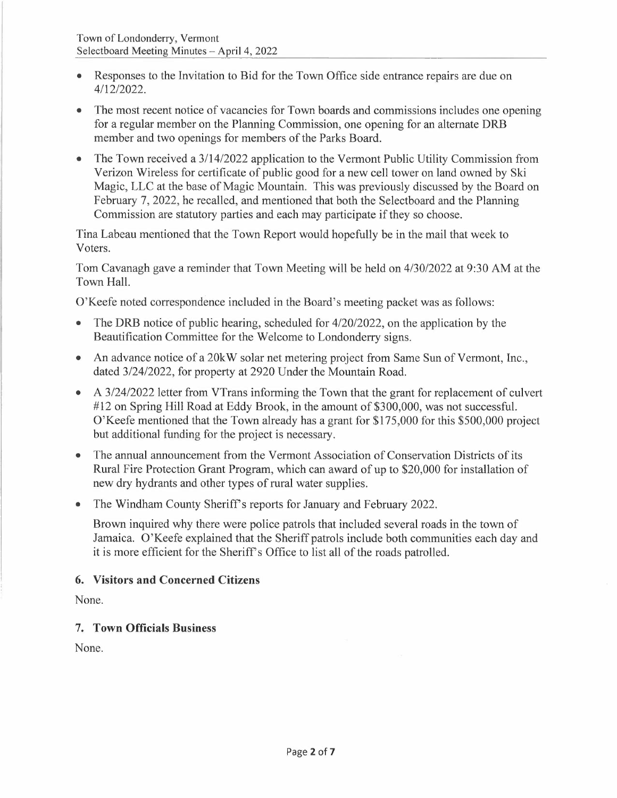- Responses to the Invitation to Bid for the Town Office side entrance repairs are due on 4/12/2022.
- The most recent notice of vacancies for Town boards and commissions includes one opening for a regular member on the Planning Commission, one opening for an alternate DRB member and two openings for members of the Parks Board.
- The Town received a 3/14/2022 application to the Vermont Public Utility Commission from Verizon Wireless for certificate of public good for a new cell tower on land owned by Ski Magic, LLC at the base of Magic Mountain. This was previously discussed by the Board on February 7, 2022, he recalled, and mentioned that both the Selectboard and the Planning Commission are statutory parties and each may participate if they so choose.

Tina Labeau mentioned that the Town Report would hopefully be in the mail that week to Voters.

Tom Cavanagh gave a reminder that Town Meeting will be held on 4/30/2022 at 9:30 AM at the Town Hall.

O'Keefe noted correspondence included in the Board's meeting packet was as follows:

- The DRB notice of public hearing, scheduled for 4/20/2022, on the application by the Beautification Committee for the Welcome to Londonderry signs.
- An advance notice of a 20kW solar net metering project from Same Sun of Vermont, Inc., dated 3/24/2022, for property at 2920 Under the Mountain Road.
- A 3/24/2022 letter from VTrans informing the Town that the grant for replacement of culvert #12 on Spring Hill Road at Eddy Brook, in the amount of \$300,000, was not successful. O'Keefe mentioned that the Town already has a grant for \$175,000 for this \$500,000 project but additional funding for the project is necessary.
- The annual announcement from the Vermont Association of Conservation Districts of its Rural Fire Protection Grant Program, which can award of up to \$20,000 for installation of new dry hydrants and other types of rural water supplies.
- The Windham County Sheriff's reports for January and February 2022.

Brown inquired why there were police patrols that included several roads in the town of Jamaica. O'Keefe explained that the Sheriff patrols include both communities each day and it is more efficient for the Sheriff's Office to list all of the roads patrolled.

# **6. Visitors and Concerned Citizens**

None.

# **7. Town Officials Business**

None.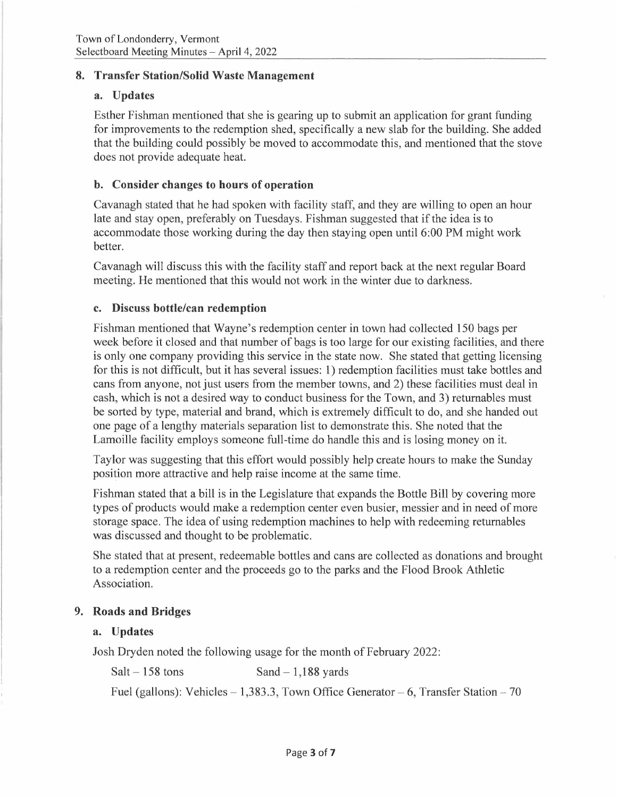# **8. Transfer Station/Solid Waste Management**

#### **a. Updates**

Esther Fishman mentioned that she is gearing up to submit an application for grant funding for improvements to the redemption shed, specifically a new slab for the building. She added that the building could possibly be moved to accommodate this, and mentioned that the stove does not provide adequate heat.

### **b. Consider changes to hours of operation**

Cavanagh stated that he had spoken with facility staff, and they are willing to open an hour late and stay open, preferably on Tuesdays. Fishman suggested that if the idea is to accommodate those working during the day then staying open until 6:00 PM might work better.

Cavanagh will discuss this with the facility staff and report back at the next regular Board meeting. He mentioned that this would not work in the winter due to darkness.

#### **c. Discuss bottle/can redemption**

Fishman mentioned that Wayne's redemption center in town had collected 150 bags per week before it closed and that number of bags is too large for our existing facilities, and there is only one company providing this service in the state now. She stated that getting licensing for this is not difficult, but it has several issues: 1) redemption facilities must take bottles and cans from anyone, not just users from the member towns, and 2) these facilities must deal in cash, which is not a desired way to conduct business for the Town, and 3) returnables must be sorted by type, material and brand, which is extremely difficult to do, and she handed out one page of a lengthy materials separation list to demonstrate this. She noted that the Lamoille facility employs someone full-time do handle this and is losing money on it.

Taylor was suggesting that this effort would possibly help create hours to make the Sunday position more attractive and help raise income at the same time.

Fishman stated that a bill is in the Legislature that expands the Bottle Bill by covering more types of products would make a redemption center even busier, messier and in need of more storage space. The idea of using redemption machines to help with redeeming returnables was discussed and thought to be problematic.

She stated that at present, redeemable bottles and cans are collected as donations and brought to a redemption center and the proceeds go to the parks and the Flood Brook Athletic Association.

#### **9. Roads and Bridges**

#### **a. Updates**

Josh Dryden noted the following usage for the month of February 2022:

 $Salt - 158$  tons  $Sand - 1,188$  yards

Fuel (gallons): Vehicles  $-1,383.3$ , Town Office Generator  $-6$ , Transfer Station  $-70$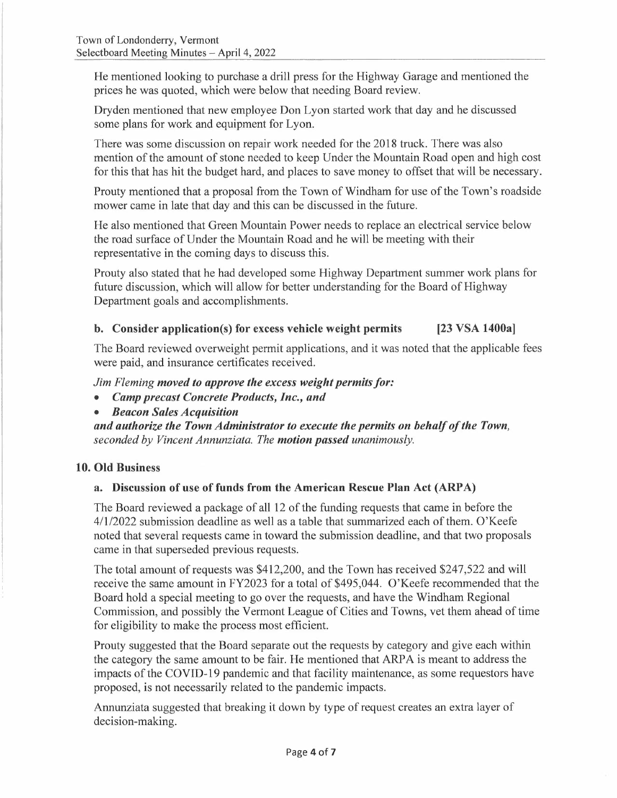He mentioned looking to purchase a drill press for the Highway Garage and mentioned the prices he was quoted, which were below that needing Board review.

Dryden mentioned that new employee Don Lyon started work that day and he discussed some plans for work and equipment for Lyon.

There was some discussion on repair work needed for the 2018 truck. There was also mention of the amount of stone needed to keep Under the Mountain Road open and high cost for this that has hit the budget hard, and places to save money to offset that will be necessary.

Prouty mentioned that a proposal from the Town of Windham for use of the Town's roadside mower came in late that day and this can be discussed in the future.

He also mentioned that Green Mountain Power needs to replace an electrical service below the road surface of Under the Mountain Road and he will be meeting with their representative in the coming days to discuss this.

Prouty also stated that he had developed some Highway Department summer work plans for future discussion, which will allow for better understanding for the Board of Highway Department goals and accomplishments.

# **b. Consider application(s) for excess vehicle weight permits [23 VSA 1400a]**

The Board reviewed overweight permit applications, and it was noted that the applicable fees were paid, and insurance certificates received.

*Jim Fleming moved to approve the excess weight permits for:* 

- *Camp precast Concrete Products, Inc., and*
- *Beacon Sales Acquisition*

*and authorize the Town Administrator to execute the permits on behalf of the Town, seconded by Vincent Annunziata. The motion passed unanimously.* 

#### **10. Old Business**

# **a. Discussion of use of funds from the American Rescue Plan Act (ARP A)**

The Board reviewed a package of all 12 of the funding requests that came in before the 4/1/2022 submission deadline as well as a table that summarized each of them. O'Keefe noted that several requests came in toward the submission deadline, and that two proposals came in that superseded previous requests.

The total amount of requests was \$412,200, and the Town has received \$247,522 and will receive the same amount in FY2023 for a total of \$495,044. O'Keefe recommended that the Board hold a special meeting to go over the requests, and have the Windham Regional Commission, and possibly the Vermont League of Cities and Towns, vet them ahead of time for eligibility to make the process most efficient.

Prouty suggested that the Board separate out the requests by category and give each within the category the same amount to be fair. He mentioned that ARP A is meant to address the impacts of the COVID-19 pandemic and that facility maintenance, as some requestors have proposed, is not necessarily related to the pandemic impacts.

Annunziata suggested that breaking it down by type of request creates an extra layer of decision-making.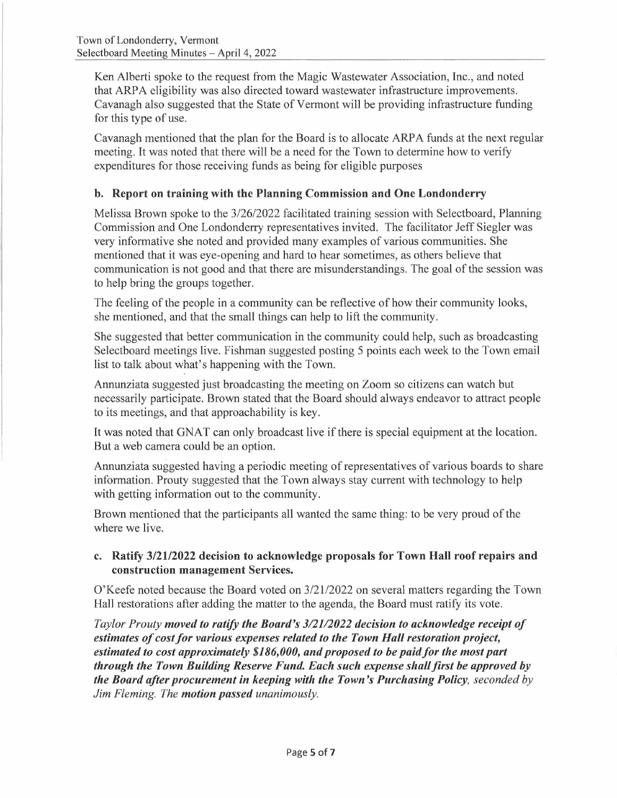Ken Alberti spoke to the request from the Magic Wastewater Association, Inc., and noted that ARP A eligibility was also directed toward wastewater infrastructure improvements. Cavanagh also suggested that the State of Vermont will be providing infrastructure funding for this type of use.

Cavanagh mentioned that the plan for the Board is to allocate ARPA funds at the next regular meeting. It was noted that there will be a need for the Town to determine how to verify expenditures for those receiving funds as being for eligible purposes

# **b. Report on training with the Planning Commission and One Londonderry**

Melissa Brown spoke to the 3/26/2022 facilitated training session with Selectboard, Planning Commission and One Londonderry representatives invited. The facilitator Jeff Siegler was very informative she noted and provided many examples of various communities. She mentioned that it was eye-opening and hard to hear sometimes, as others believe that communication is not good and that there are misunderstandings. The goal of the session was to help bring the groups together.

The feeling of the people in a community can be reflective of how their community looks, she mentioned, and that the small things can help to lift the community.

She suggested that better communication in the community could help, such as broadcasting Selectboard meetings live. Fishman suggested posting 5 points each week to the Town email list to talk about what's happening with the Town.

Annunziata suggested just broadcasting the meeting on Zoom so citizens can watch but necessarily participate. Brown stated that the Board should always endeavor to attract people to its meetings, and that approachability is key.

It was noted that GNAT can only broadcast live if there is special equipment at the location. But a web camera could be an option.

Annunziata suggested having a periodic meeting of representatives of various boards to share information. Prouty suggested that the Town always stay current with technology to help with getting information out to the community.

Brown mentioned that the participants all wanted the same thing: to be very proud of the where we live.

# **c. Ratify 3/21/2022 decision to acknowledge proposals for Town Hall roof repairs and construction management Services.**

O'Keefe noted because the Board voted on 3/21/2022 on several matters regarding the Town Hall restorations after adding the matter to the agenda, the Board must ratify its vote.

*Taylor Prouty moved to ratify the Board's 3/21/2022 decision to acknowledge receipt of Faylor Prouty moved to ratify the Board's 3/21/2022 decision to acknowledge receip*<br>estimates of cost for various expenses related to the Town Hall restoration project, *estimates of cost for various expenses related to the Town Hall restoration project,*<br>estimated to cost approximately \$186,000, and proposed to be paid for the most part *through the Town Building Reserve Fund. Each such expense shall first be approved by the Board after procurement in keeping with the Town's Purchasing Policy, seconded by Jim Fleming. The motion passed unanimously.*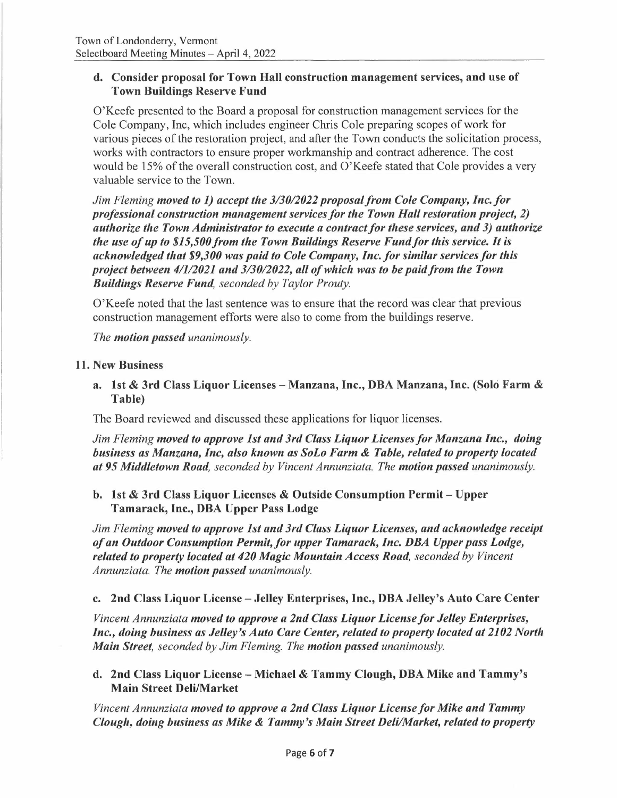# **d. Consider proposal for Town Hall construction management services, and use of Town Buildings Reserve Fund**

O'Keefe presented to the Board a proposal for construction management services for the Cole Company, Inc, which includes engineer Chris Cole preparing scopes of work for various pieces of the restoration project, and after the Town conducts the solicitation process, works with contractors to ensure proper workmanship and contract adherence. The cost would be 15% of the overall construction cost, and O'Keefe stated that Cole provides a very valuable service to the Town.

*Jim Fleming moved to 1) accept the 3/30/2022 proposal from Cole Company, Inc.for professional construction management services for the Town Hall restoration project, 2)*  professional construction management services for the Town Hall restoration project, 2)<br>authorize the Town Administrator to execute a contract for these services, and 3) authorize<br>... *the use of up to \$15,500/rom the Town Buildings Reserve Fund/or this service. It is the use of up to \$15,500 from the Town Buildings Reserve Fund for this service. It is*<br>acknowledged that \$9,300 was paid to Cole Company, Inc. for similar services for this *project between 4/1/2021 and 3/30/2022, all of which was to be paid from the Town Buildings Reserve Fund, seconded by Taylor Prouty.* 

O'Keefe noted that the last sentence was to ensure that the record was clear that previous construction management efforts were also to come from the buildings reserve.

*The motion passed unanimously.* 

#### **11. New Business**

**a. 1st** & **3rd Class Liquor Licenses - Manzana, Inc., DBA Manzana, Inc. (Solo Farm** & **Table)** 

The Board reviewed and discussed these applications for liquor licenses.

*Jim Fleming moved to approve 1st and 3rd Class Liquor Licenses for Manzana Inc., doing business as Manzana, Inc, also known as SoLo Farm* & *Table, related to property located at 95 Middletown Road, seconded by Vincent Annunziata. The motion passed unanimously.* 

# **b. 1st** & **3rd Class Liquor Licenses** & **Outside Consumption Permit - Upper Tamarack, Inc., DBA Upper Pass Lodge**

*Jim Fleming moved to approve 1st and 3rd Class Liquor Licenses, and acknowledge receipt of an Outdoor Consumption Permit.for upper Tamarack, Inc. DBA Upper pass Lodge, related to property located at 420 Magic Mountain Access Road, seconded by Vincent Annunziata. The motion passed unanimously.* 

#### **c. 2nd Class Liquor License - Jelley Enterprises, Inc., DBA Jelley's Auto Care Center**

*Vincent Annunziata moved to approve a 2nd Class Liquor License for Jelley Enterprises, Inc., doing business as Jelley's Auto Care Center, related to property located at 2102 North Main Street, seconded by Jim Fleming. The motion passed unanimously.* 

# **d. 2nd Class Liquor License - Michael** & **Tammy Clough, DBA Mike and Tammy's Main Street Deli/Market**

*Vincent Annunziata moved to approve a 2nd Class Liquor License for Mike and Tammy Clough, doing business as Mike* & *Tammy's Main Street Deli/Market, related to property*